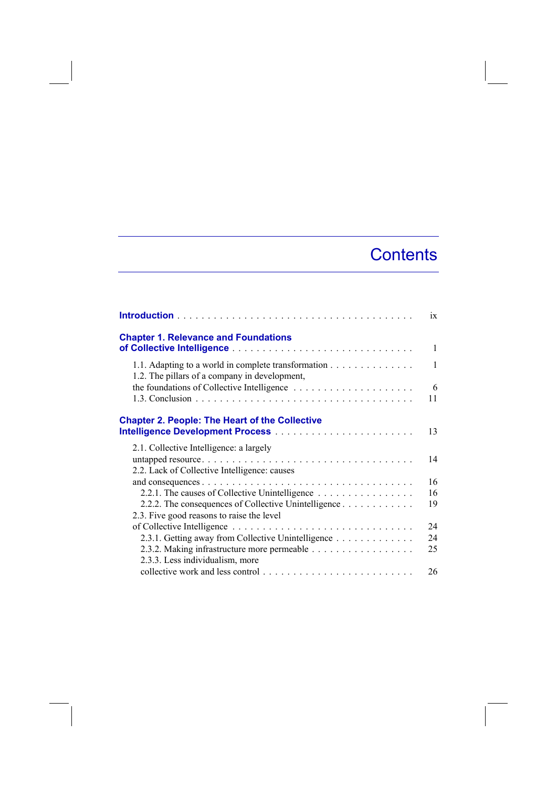## **Contents**

|                                                                                                      | 1X           |
|------------------------------------------------------------------------------------------------------|--------------|
| <b>Chapter 1. Relevance and Foundations</b>                                                          | 1            |
| 1.1. Adapting to a world in complete transformation<br>1.2. The pillars of a company in development, | $\mathbf{1}$ |
|                                                                                                      | 6<br>11      |
| <b>Chapter 2. People: The Heart of the Collective</b>                                                | 13           |
| 2.1. Collective Intelligence: a largely                                                              |              |
| 2.2. Lack of Collective Intelligence: causes                                                         | 14           |
| 2.2.1. The causes of Collective Unintelligence                                                       | 16<br>16     |
| 2.2.2. The consequences of Collective Unintelligence                                                 | 19           |
| 2.3. Five good reasons to raise the level                                                            | 24           |
| 2.3.1. Getting away from Collective Unintelligence                                                   | 24           |
| 2.3.3. Less individualism, more                                                                      | 25           |
|                                                                                                      | 26           |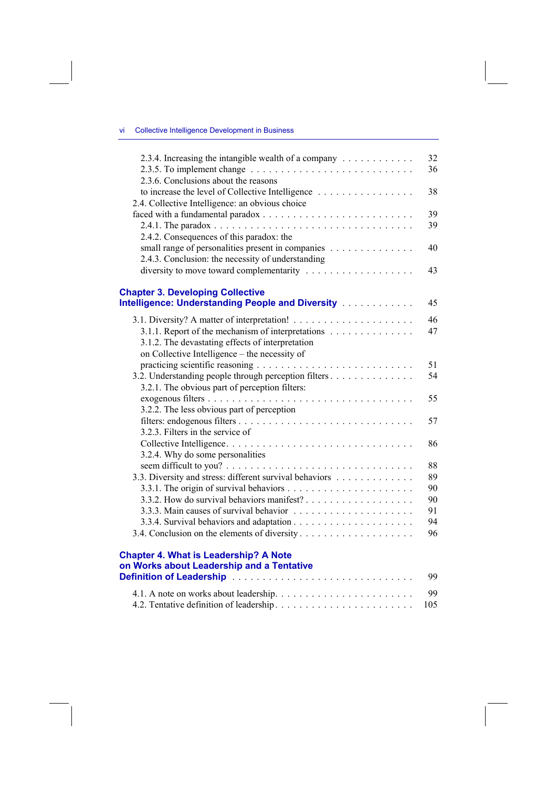## vi Collective Intelligence Development in Business

| 2.3.4. Increasing the intangible wealth of a company<br>2.3.5. To implement change $\dots \dots \dots \dots \dots \dots \dots \dots \dots \dots \dots$ | 32<br>36 |
|--------------------------------------------------------------------------------------------------------------------------------------------------------|----------|
| 2.3.6. Conclusions about the reasons<br>to increase the level of Collective Intelligence                                                               | 38       |
| 2.4. Collective Intelligence: an obvious choice                                                                                                        |          |
|                                                                                                                                                        | 39       |
|                                                                                                                                                        | 39       |
| 2.4.2. Consequences of this paradox: the                                                                                                               |          |
| small range of personalities present in companies                                                                                                      | 40       |
| 2.4.3. Conclusion: the necessity of understanding                                                                                                      |          |
|                                                                                                                                                        | 43       |
| <b>Chapter 3. Developing Collective</b>                                                                                                                |          |
| Intelligence: Understanding People and Diversity [1] [1]                                                                                               | 45       |
|                                                                                                                                                        | 46       |
| 3.1.1. Report of the mechanism of interpretations                                                                                                      | 47       |
|                                                                                                                                                        |          |
| 3.1.2. The devastating effects of interpretation                                                                                                       |          |
| on Collective Intelligence – the necessity of                                                                                                          |          |
|                                                                                                                                                        | 51       |
| 3.2. Understanding people through perception filters                                                                                                   | 54       |
| 3.2.1. The obvious part of perception filters:                                                                                                         |          |
|                                                                                                                                                        | 55       |
| 3.2.2. The less obvious part of perception                                                                                                             |          |
|                                                                                                                                                        | 57       |
| 3.2.3. Filters in the service of                                                                                                                       |          |
|                                                                                                                                                        | 86       |
| 3.2.4. Why do some personalities                                                                                                                       |          |
|                                                                                                                                                        | 88       |
| 3.3. Diversity and stress: different survival behaviors                                                                                                | 89       |
|                                                                                                                                                        | 90       |
|                                                                                                                                                        | 90       |
|                                                                                                                                                        | 91       |
|                                                                                                                                                        | 94       |
|                                                                                                                                                        | 96       |
|                                                                                                                                                        |          |
| <b>Chapter 4. What is Leadership? A Note</b>                                                                                                           |          |
| on Works about Leadership and a Tentative                                                                                                              |          |
|                                                                                                                                                        | 99       |
|                                                                                                                                                        | 99       |

4.2. Tentative definition of leadership . . . . . . . . . . . . . . . . . . . . . . . 105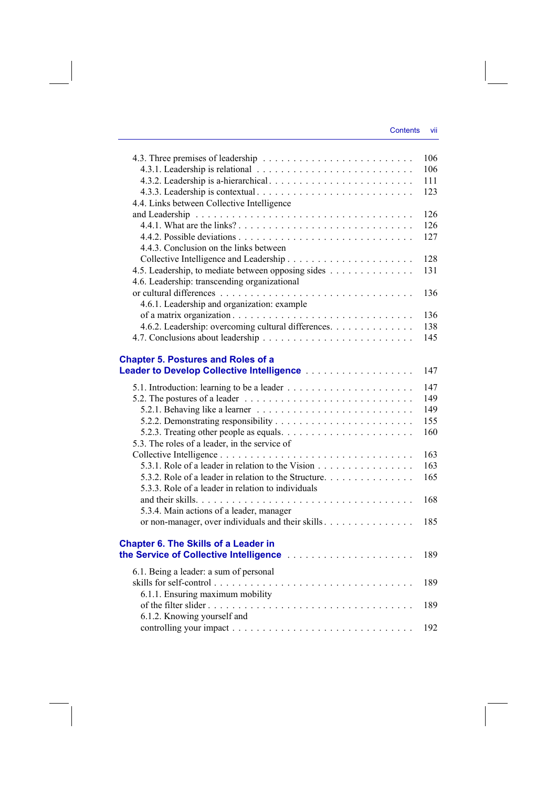|                                                                                                       | 106 |
|-------------------------------------------------------------------------------------------------------|-----|
|                                                                                                       | 106 |
|                                                                                                       | 111 |
|                                                                                                       | 123 |
| 4.4. Links between Collective Intelligence                                                            |     |
|                                                                                                       | 126 |
|                                                                                                       | 126 |
|                                                                                                       | 127 |
| 4.4.3. Conclusion on the links between                                                                |     |
|                                                                                                       | 128 |
|                                                                                                       |     |
| 4.5. Leadership, to mediate between opposing sides                                                    | 131 |
| 4.6. Leadership: transcending organizational                                                          |     |
|                                                                                                       | 136 |
| 4.6.1. Leadership and organization: example                                                           |     |
|                                                                                                       | 136 |
| 4.6.2. Leadership: overcoming cultural differences.                                                   | 138 |
|                                                                                                       | 145 |
|                                                                                                       |     |
| <b>Chapter 5. Postures and Roles of a</b>                                                             |     |
|                                                                                                       | 147 |
|                                                                                                       | 147 |
| 5.2. The postures of a leader $\ldots \ldots \ldots \ldots \ldots \ldots \ldots \ldots \ldots \ldots$ | 149 |
|                                                                                                       | 149 |
|                                                                                                       | 155 |
|                                                                                                       | 160 |
| 5.3. The roles of a leader, in the service of                                                         |     |
|                                                                                                       |     |
|                                                                                                       | 163 |
| 5.3.1. Role of a leader in relation to the Vision                                                     | 163 |
| 5.3.2. Role of a leader in relation to the Structure.                                                 | 165 |
| 5.3.3. Role of a leader in relation to individuals                                                    |     |
|                                                                                                       | 168 |
| 5.3.4. Main actions of a leader, manager                                                              |     |
| or non-manager, over individuals and their skills                                                     | 185 |
|                                                                                                       |     |
| <b>Chapter 6. The Skills of a Leader in</b>                                                           |     |
|                                                                                                       | 189 |
| 6.1. Being a leader: a sum of personal                                                                |     |
|                                                                                                       | 189 |
| 6.1.1. Ensuring maximum mobility                                                                      |     |
|                                                                                                       | 189 |
| 6.1.2. Knowing yourself and                                                                           |     |
|                                                                                                       |     |
|                                                                                                       | 192 |